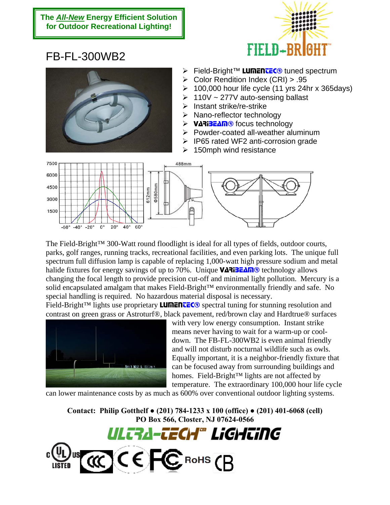## **The** *All-New* **Energy Efficient Solution for Outdoor Recreational Lighting!**



## FB-FL-300WB2



- > Field-Bright™ LunEntEC<sup>®</sup> tuned spectrum
- ¾ Color Rendition Index (CRI) > .95
- $\geq 100,000$  hour life cycle (11 yrs 24hr x 365days)
- $\geq 110V \sim 277V$  auto-sensing ballast
- $\triangleright$  Instant strike/re-strike
- $\triangleright$  Nano-reflector technology
- ¾ VARIBEAM® focus technology
- $\triangleright$  Powder-coated all-weather aluminum
- $\triangleright$  IP65 rated WF2 anti-corrosion grade
- $\geq$  150mph wind resistance



The Field-Bright™ 300-Watt round floodlight is ideal for all types of fields, outdoor courts, parks, golf ranges, running tracks, recreational facilities, and even parking lots. The unique full spectrum full diffusion lamp is capable of replacing 1,000-watt high pressure sodium and metal halide fixtures for energy savings of up to 70%. Unique  $VATIZLAM@$  technology allows changing the focal length to provide precision cut-off and minimal light pollution. Mercury is a solid encapsulated amalgam that makes Field-Bright™ environmentally friendly and safe. No special handling is required. No hazardous material disposal is necessary.

Field-Bright™ lights use proprietary **LUMENTEC**<sup>®</sup> spectral tuning for stunning resolution and contrast on green grass or Astroturf®, black pavement, red/brown clay and Hardtrue® surfaces



with very low energy consumption. Instant strike means never having to wait for a warm-up or cooldown. The FB-FL-300WB2 is even animal friendly and will not disturb nocturnal wildlife such as owls. Equally important, it is a neighbor-friendly fixture that can be focused away from surrounding buildings and homes. Field-Bright™ lights are not affected by temperature. The extraordinary 100,000 hour life cycle

can lower maintenance costs by as much as 600% over conventional outdoor lighting systems.

**Contact: Philip Gotthelf ● (201) 784-1233 x 100 (office) ● (201) 401-6068 (cell) PO Box 566, Closter, NJ 07624-0566**